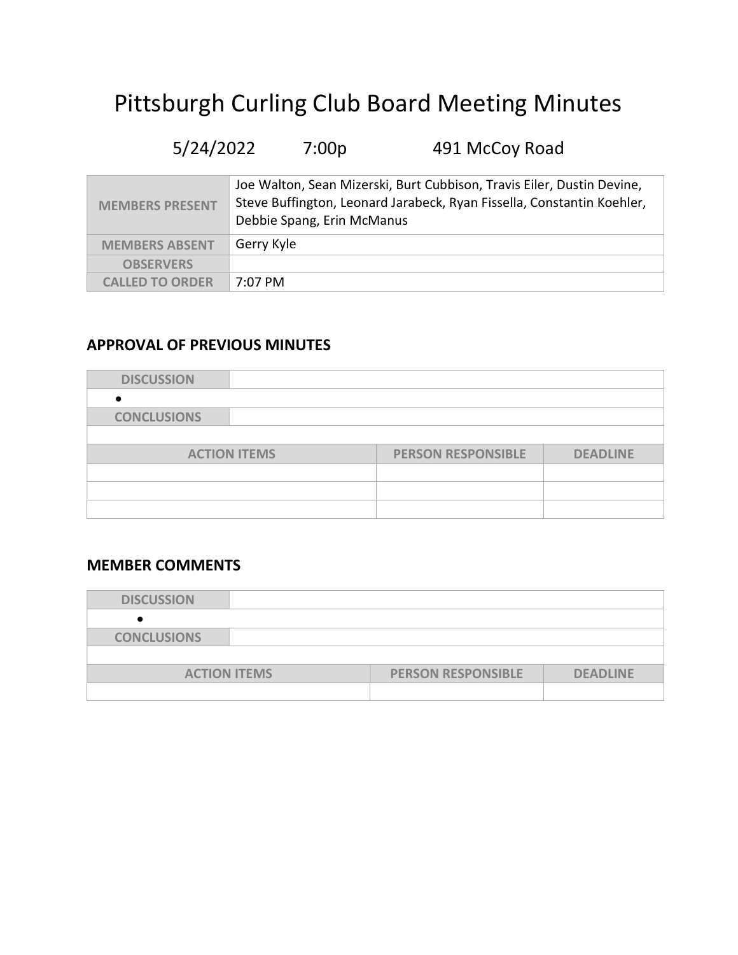# Pittsburgh Curling Club Board Meeting Minutes

## 5/24/2022 7:00p 491 McCoy Road

| <b>MEMBERS PRESENT</b> | Joe Walton, Sean Mizerski, Burt Cubbison, Travis Eiler, Dustin Devine,<br>Steve Buffington, Leonard Jarabeck, Ryan Fissella, Constantin Koehler,<br>Debbie Spang, Erin McManus |
|------------------------|--------------------------------------------------------------------------------------------------------------------------------------------------------------------------------|
| <b>MEMBERS ABSENT</b>  | Gerry Kyle                                                                                                                                                                     |
| <b>OBSERVERS</b>       |                                                                                                                                                                                |
| <b>CALLED TO ORDER</b> | $7:07 \text{ PM}$                                                                                                                                                              |

#### APPROVAL OF PREVIOUS MINUTES

| <b>DISCUSSION</b>  |                     |                           |                 |
|--------------------|---------------------|---------------------------|-----------------|
|                    |                     |                           |                 |
| <b>CONCLUSIONS</b> |                     |                           |                 |
|                    |                     |                           |                 |
|                    | <b>ACTION ITEMS</b> | <b>PERSON RESPONSIBLE</b> | <b>DEADLINE</b> |
|                    |                     |                           |                 |
|                    |                     |                           |                 |
|                    |                     |                           |                 |

#### MEMBER COMMENTS

| <b>DISCUSSION</b>   |                           |                 |
|---------------------|---------------------------|-----------------|
|                     |                           |                 |
| <b>CONCLUSIONS</b>  |                           |                 |
|                     |                           |                 |
| <b>ACTION ITEMS</b> | <b>PERSON RESPONSIBLE</b> | <b>DEADLINE</b> |
|                     |                           |                 |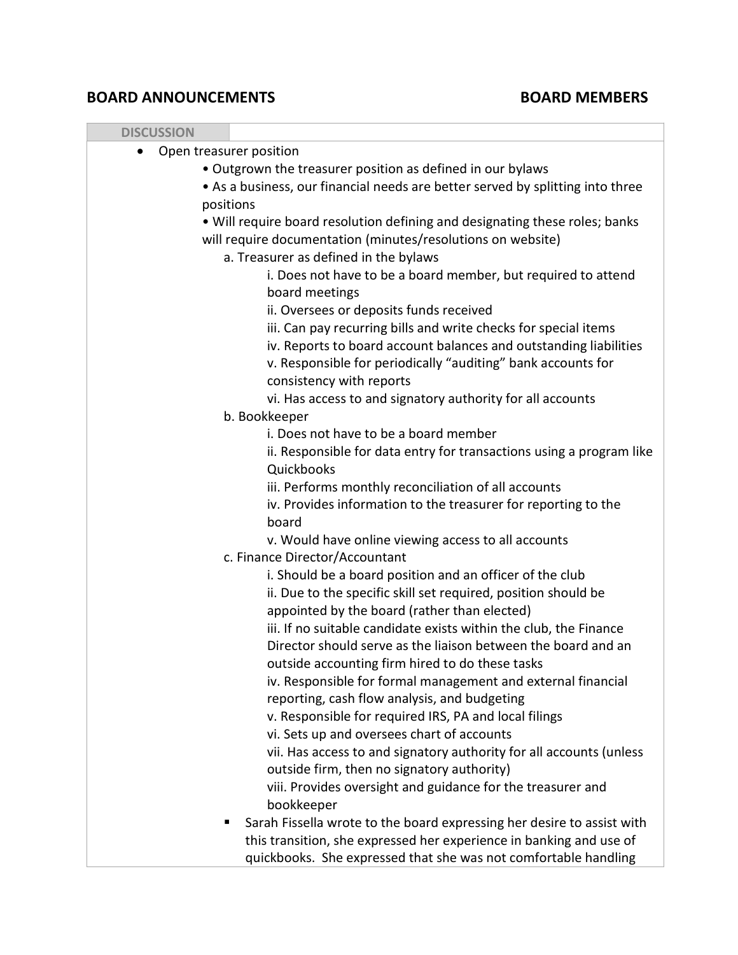#### BOARD ANNOUNCEMENTS BOARD MEMBERS

| <b>DISCUSSION</b>                                                              |
|--------------------------------------------------------------------------------|
| Open treasurer position<br>$\bullet$                                           |
| • Outgrown the treasurer position as defined in our bylaws                     |
| • As a business, our financial needs are better served by splitting into three |
| positions                                                                      |
| . Will require board resolution defining and designating these roles; banks    |
| will require documentation (minutes/resolutions on website)                    |
| a. Treasurer as defined in the bylaws                                          |
| i. Does not have to be a board member, but required to attend                  |
| board meetings                                                                 |
| ii. Oversees or deposits funds received                                        |
| iii. Can pay recurring bills and write checks for special items                |
| iv. Reports to board account balances and outstanding liabilities              |
| v. Responsible for periodically "auditing" bank accounts for                   |
| consistency with reports                                                       |
| vi. Has access to and signatory authority for all accounts                     |
| b. Bookkeeper                                                                  |
| i. Does not have to be a board member                                          |
| ii. Responsible for data entry for transactions using a program like           |
| Quickbooks                                                                     |
| iii. Performs monthly reconciliation of all accounts                           |
| iv. Provides information to the treasurer for reporting to the                 |
| board                                                                          |
| v. Would have online viewing access to all accounts                            |
| c. Finance Director/Accountant                                                 |
| i. Should be a board position and an officer of the club                       |
| ii. Due to the specific skill set required, position should be                 |
| appointed by the board (rather than elected)                                   |
| iii. If no suitable candidate exists within the club, the Finance              |
| Director should serve as the liaison between the board and an                  |
| outside accounting firm hired to do these tasks                                |
| iv. Responsible for formal management and external financial                   |
| reporting, cash flow analysis, and budgeting                                   |
| v. Responsible for required IRS, PA and local filings                          |
| vi. Sets up and oversees chart of accounts                                     |
| vii. Has access to and signatory authority for all accounts (unless            |
| outside firm, then no signatory authority)                                     |
| viii. Provides oversight and guidance for the treasurer and                    |
| bookkeeper                                                                     |
| Sarah Fissella wrote to the board expressing her desire to assist with<br>п    |
| this transition, she expressed her experience in banking and use of            |
| quickbooks. She expressed that she was not comfortable handling                |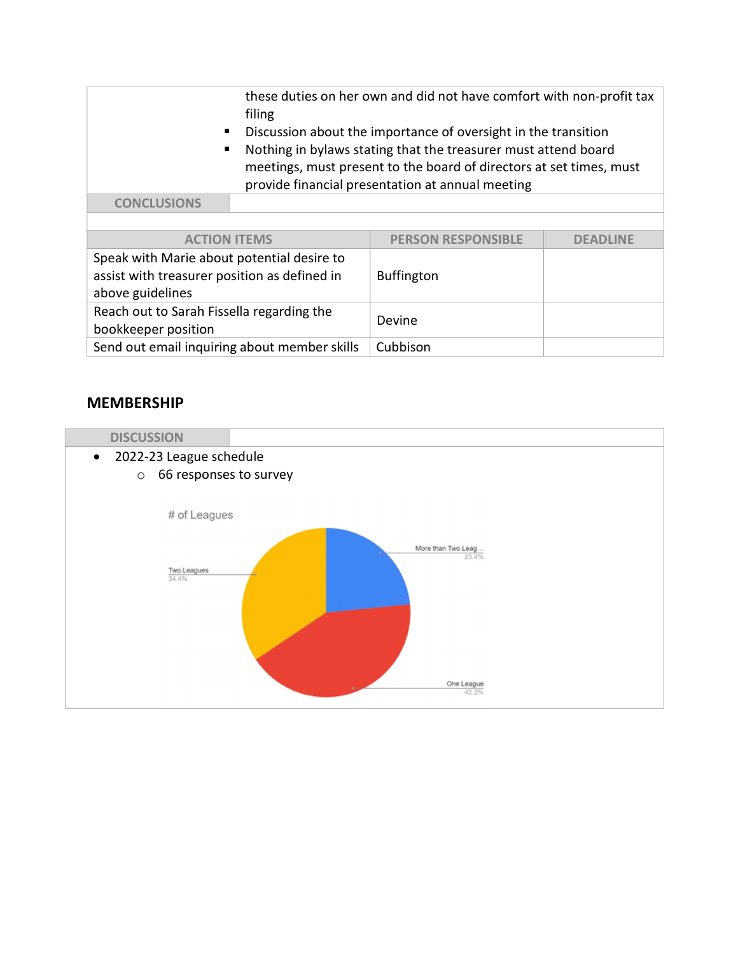| these duties on her own and did not have comfort with non-profit tax<br>filing<br>Discussion about the importance of oversight in the transition<br>٠<br>Nothing in bylaws stating that the treasurer must attend board<br>٠<br>meetings, must present to the board of directors at set times, must<br>provide financial presentation at annual meeting |                     |                           |                 |
|---------------------------------------------------------------------------------------------------------------------------------------------------------------------------------------------------------------------------------------------------------------------------------------------------------------------------------------------------------|---------------------|---------------------------|-----------------|
|                                                                                                                                                                                                                                                                                                                                                         |                     |                           |                 |
| <b>CONCLUSIONS</b>                                                                                                                                                                                                                                                                                                                                      |                     |                           |                 |
|                                                                                                                                                                                                                                                                                                                                                         |                     |                           |                 |
|                                                                                                                                                                                                                                                                                                                                                         | <b>ACTION ITEMS</b> | <b>PERSON RESPONSIBLE</b> | <b>DEADLINE</b> |
| Speak with Marie about potential desire to<br>assist with treasurer position as defined in<br>above guidelines                                                                                                                                                                                                                                          |                     | <b>Buffington</b>         |                 |
| Reach out to Sarah Fissella regarding the<br>bookkeeper position                                                                                                                                                                                                                                                                                        |                     | Devine                    |                 |
| Send out email inquiring about member skills                                                                                                                                                                                                                                                                                                            |                     | Cubbison                  |                 |

#### MEMBERSHIP

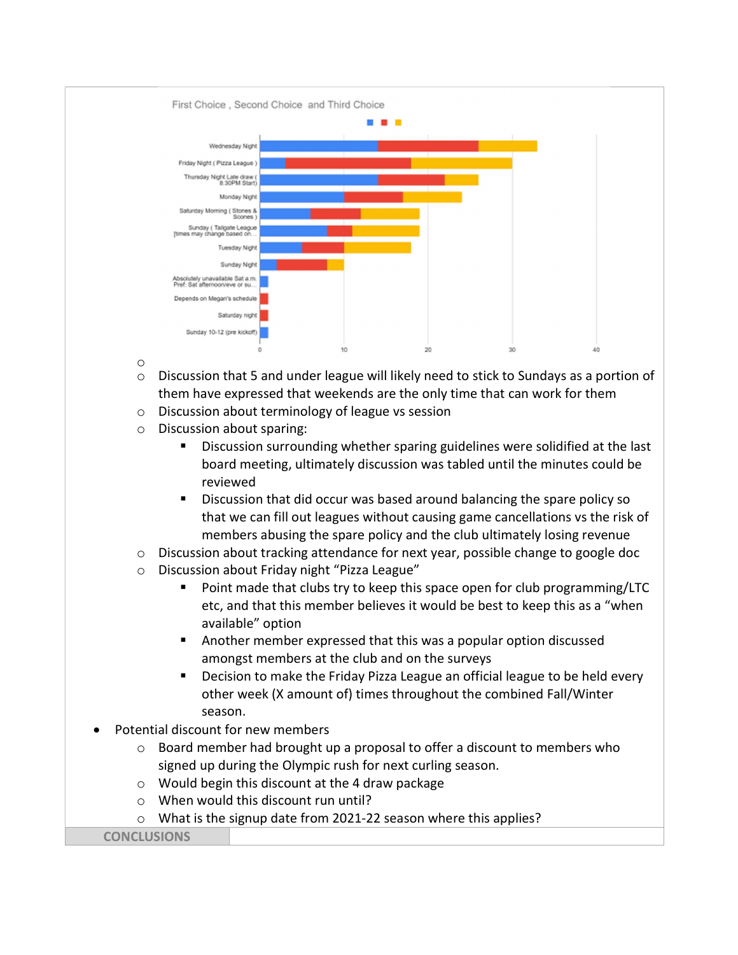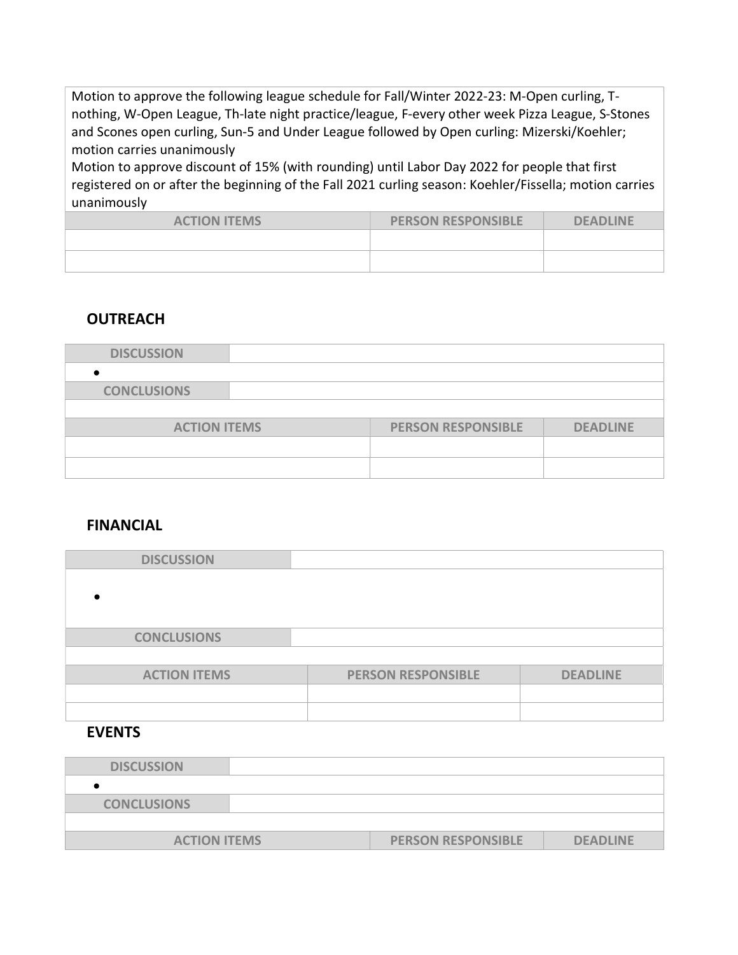Motion to approve the following league schedule for Fall/Winter 2022-23: M-Open curling, Tnothing, W-Open League, Th-late night practice/league, F-every other week Pizza League, S-Stones and Scones open curling, Sun-5 and Under League followed by Open curling: Mizerski/Koehler; motion carries unanimously

Motion to approve discount of 15% (with rounding) until Labor Day 2022 for people that first registered on or after the beginning of the Fall 2021 curling season: Koehler/Fissella; motion carries unanimously

| <b>ACTION ITEMS</b> | <b>PERSON RESPONSIBLE</b> | <b>DEADLINE</b> |
|---------------------|---------------------------|-----------------|
|                     |                           |                 |
|                     |                           |                 |

#### **OUTREACH**

| <b>DISCUSSION</b>   |                           |                 |
|---------------------|---------------------------|-----------------|
|                     |                           |                 |
| <b>CONCLUSIONS</b>  |                           |                 |
|                     |                           |                 |
| <b>ACTION ITEMS</b> | <b>PERSON RESPONSIBLE</b> | <b>DEADLINE</b> |
|                     |                           |                 |
|                     |                           |                 |
|                     |                           |                 |

#### FINANCIAL

| <b>DISCUSSION</b>   |                           |                 |
|---------------------|---------------------------|-----------------|
|                     |                           |                 |
|                     |                           |                 |
|                     |                           |                 |
| <b>CONCLUSIONS</b>  |                           |                 |
|                     |                           |                 |
| <b>ACTION ITEMS</b> | <b>PERSON RESPONSIBLE</b> | <b>DEADLINE</b> |
|                     |                           |                 |
|                     |                           |                 |

### EVENTS

| <b>DISCUSSION</b>   |                           |                 |
|---------------------|---------------------------|-----------------|
|                     |                           |                 |
| <b>CONCLUSIONS</b>  |                           |                 |
|                     |                           |                 |
| <b>ACTION ITEMS</b> | <b>PERSON RESPONSIBLE</b> | <b>DEADLINE</b> |